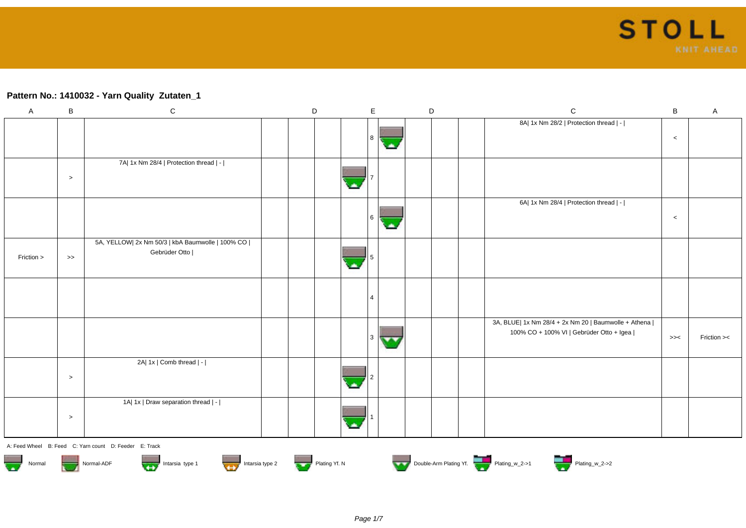### **Pattern No.: 1410032 - Yarn Quality Zutaten\_1**

| $\mathsf{A}$ | $\sf B$           | ${\bf C}$                                                                    | $\mathsf D$   |   | E              |    | D | $\mathbf C$                                                                                        | $\sf B$ | $\mathsf{A}$ |
|--------------|-------------------|------------------------------------------------------------------------------|---------------|---|----------------|----|---|----------------------------------------------------------------------------------------------------|---------|--------------|
|              |                   |                                                                              |               |   |                |    |   | 8A  1x Nm 28/2   Protection thread   -                                                             |         |              |
|              |                   |                                                                              |               |   | 8              |    |   |                                                                                                    | $\,<$   |              |
|              |                   | 7A  1x Nm 28/4   Protection thread   -                                       |               |   |                |    |   |                                                                                                    |         |              |
|              | $\,>$             |                                                                              |               |   |                |    |   |                                                                                                    |         |              |
|              |                   |                                                                              |               |   |                |    |   | 6A  1x Nm 28/4   Protection thread   -                                                             |         |              |
|              |                   |                                                                              |               |   | 6              | ۱× |   |                                                                                                    | $\,<$   |              |
|              |                   | 5A, YELLOW  2x Nm 50/3   kbA Baumwolle   100% CO                             |               |   |                |    |   |                                                                                                    |         |              |
| Friction >   | $\boldsymbol{>>}$ | Gebrüder Otto                                                                |               |   | 5              |    |   |                                                                                                    |         |              |
|              |                   |                                                                              |               |   |                |    |   |                                                                                                    |         |              |
|              |                   |                                                                              |               |   | $\overline{4}$ |    |   |                                                                                                    |         |              |
|              |                   |                                                                              |               |   |                |    |   | 3A, BLUE  1x Nm 28/4 + 2x Nm 20   Baumwolle + Athena  <br>100% CO + 100% VI   Gebrüder Otto + Igea |         |              |
|              |                   |                                                                              |               |   | 3              |    |   |                                                                                                    | $>><$   | Friction ><  |
|              |                   | 2A  1x   Comb thread   -                                                     |               |   |                |    |   |                                                                                                    |         |              |
|              | $\,>$             |                                                                              |               |   |                |    |   |                                                                                                    |         |              |
|              |                   | 1A  1x   Draw separation thread   -                                          |               |   |                |    |   |                                                                                                    |         |              |
|              | $\,>$             |                                                                              |               | ٠ |                |    |   |                                                                                                    |         |              |
|              |                   | A: Feed Wheel B: Feed C: Yarn count D: Feeder E: Track                       |               |   |                |    |   |                                                                                                    |         |              |
| Normal       |                   | Intarsia type 1<br>Normal-ADF<br>Intarsia type 2<br><b>VEY</b><br><b>Try</b> | Plating Yf. N |   |                |    |   | Double-Arm Plating Yf.                                                                             |         |              |













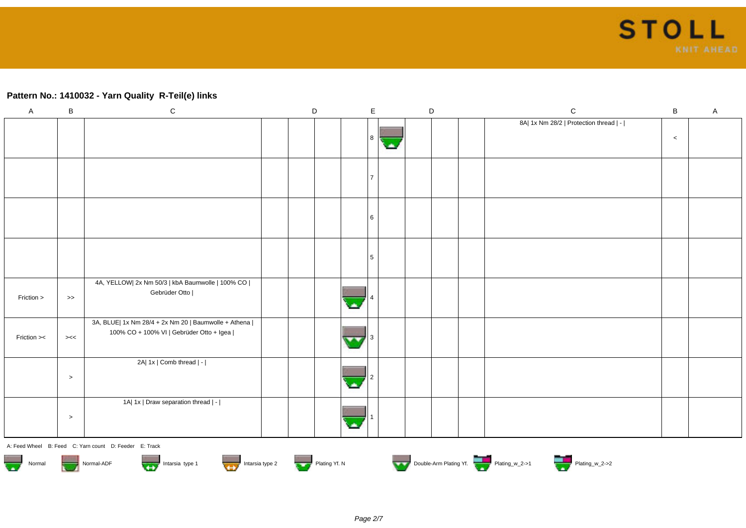#### **Pattern No.: 1410032 - Yarn Quality R-Teil(e) links**

| $\mathsf{A}$ | $\, {\bf B}$     | ${\bf C}$                                                                                          | $\mathsf D$ |  | E | D | $\mathbf C$                            | B     | A |
|--------------|------------------|----------------------------------------------------------------------------------------------------|-------------|--|---|---|----------------------------------------|-------|---|
|              |                  |                                                                                                    |             |  |   |   | 8A  1x Nm 28/2   Protection thread   - | $\,<$ |   |
|              |                  |                                                                                                    |             |  |   |   |                                        |       |   |
|              |                  |                                                                                                    |             |  |   |   |                                        |       |   |
|              |                  |                                                                                                    |             |  |   |   |                                        |       |   |
| Friction >   | $\boldsymbol{>}$ | 4A, YELLOW  2x Nm 50/3   kbA Baumwolle   100% CO  <br>Gebrüder Otto                                |             |  |   |   |                                        |       |   |
| Friction ><  | ><               | 3A, BLUE  1x Nm 28/4 + 2x Nm 20   Baumwolle + Athena  <br>100% CO + 100% VI   Gebrüder Otto + Igea |             |  |   |   |                                        |       |   |
|              | $\,>$            | 2A  1x   Comb thread   -                                                                           |             |  |   |   |                                        |       |   |
|              | $\,>$            | 1A  1x   Draw separation thread   -                                                                |             |  |   |   |                                        |       |   |













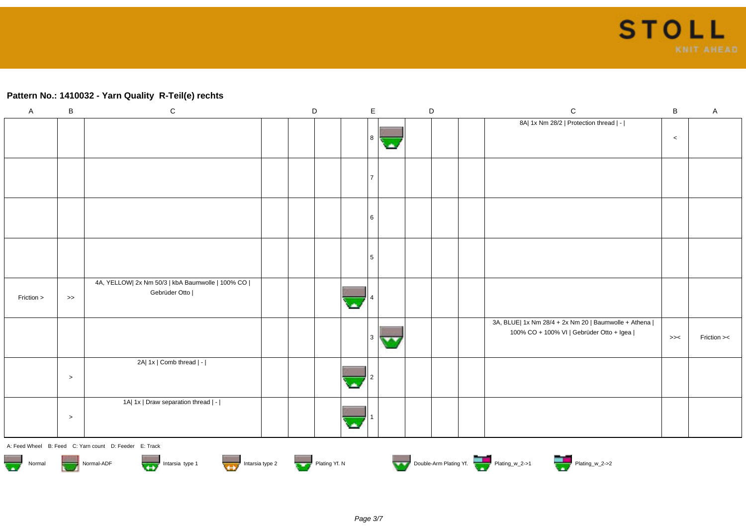#### **Pattern No.: 1410032 - Yarn Quality R-Teil(e) rechts**

| $\mathsf A$ | $\, {\bf B}$      | $\mathsf C$                                                         | $\mathsf D$ | $\mathsf{E}$ | $\mathsf D$ | ${\bf C}$                                                                                          | $\sf B$ | $\mathsf A$ |
|-------------|-------------------|---------------------------------------------------------------------|-------------|--------------|-------------|----------------------------------------------------------------------------------------------------|---------|-------------|
|             |                   |                                                                     |             | 8            |             | 8A  1x Nm 28/2   Protection thread   -                                                             | $\,<$   |             |
|             |                   |                                                                     |             |              |             |                                                                                                    |         |             |
|             |                   |                                                                     |             | 6            |             |                                                                                                    |         |             |
|             |                   |                                                                     |             |              |             |                                                                                                    |         |             |
| Friction >  | $\boldsymbol{>>}$ | 4A, YELLOW  2x Nm 50/3   kbA Baumwolle   100% CO  <br>Gebrüder Otto |             |              |             |                                                                                                    |         |             |
|             |                   |                                                                     |             | 3<br>$\sim$  |             | 3A, BLUE  1x Nm 28/4 + 2x Nm 20   Baumwolle + Athena  <br>100% CO + 100% VI   Gebrüder Otto + Igea | $>><$   | Friction >< |
|             | $\geq$            | 2A  1x   Comb thread   -                                            |             |              |             |                                                                                                    |         |             |
|             | $\,>$             | 1A  1x   Draw separation thread   -                                 |             |              |             |                                                                                                    |         |             |
|             |                   | A: Feed Wheel B: Feed C: Yarn count D: Feeder E: Track              |             |              |             |                                                                                                    |         |             |











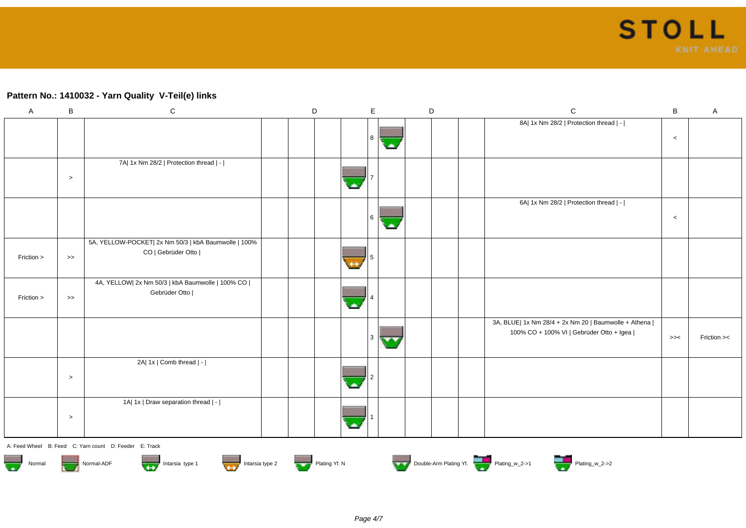## **Pattern No.: 1410032 - Yarn Quality V-Teil(e) links**

| $\boldsymbol{\mathsf{A}}$ | $\, {\bf B}$  | ${\bf C}$                                                                  | $\mathsf D$ | $\mathsf E$ | D |  | ${\bf C}$                                                                                          | $\sf B$ | A           |
|---------------------------|---------------|----------------------------------------------------------------------------|-------------|-------------|---|--|----------------------------------------------------------------------------------------------------|---------|-------------|
|                           |               |                                                                            |             |             |   |  | 8A  1x Nm 28/2   Protection thread   -                                                             | $\,<$   |             |
|                           | $\geq$        | 7A  1x Nm 28/2   Protection thread   -                                     |             |             |   |  |                                                                                                    |         |             |
|                           |               |                                                                            |             |             |   |  | 6A  1x Nm 28/2   Protection thread   -                                                             | $\,<$   |             |
| Friction >                | $\rightarrow$ | 5A, YELLOW-POCKET  2x Nm 50/3   kbA Baumwolle   100%<br>CO   Gebrüder Otto |             |             |   |  |                                                                                                    |         |             |
| Friction >                | $\rightarrow$ | 4A, YELLOW  2x Nm 50/3   kbA Baumwolle   100% CO  <br>Gebrüder Otto        |             |             |   |  |                                                                                                    |         |             |
|                           |               |                                                                            |             |             |   |  | 3A, BLUE  1x Nm 28/4 + 2x Nm 20   Baumwolle + Athena  <br>100% CO + 100% VI   Gebrüder Otto + Igea | >><     | Friction >< |
|                           | $\,>$         | 2A  1x   Comb thread   -                                                   |             |             |   |  |                                                                                                    |         |             |
|                           | $\,>$         | 1A  1x   Draw separation thread   -                                        |             |             |   |  |                                                                                                    |         |             |
|                           |               | A. F. (1998) . J. D. F. (3) O. V. (6) Louis D. F. (3) . F. T. (3)          |             |             |   |  |                                                                                                    |         |             |















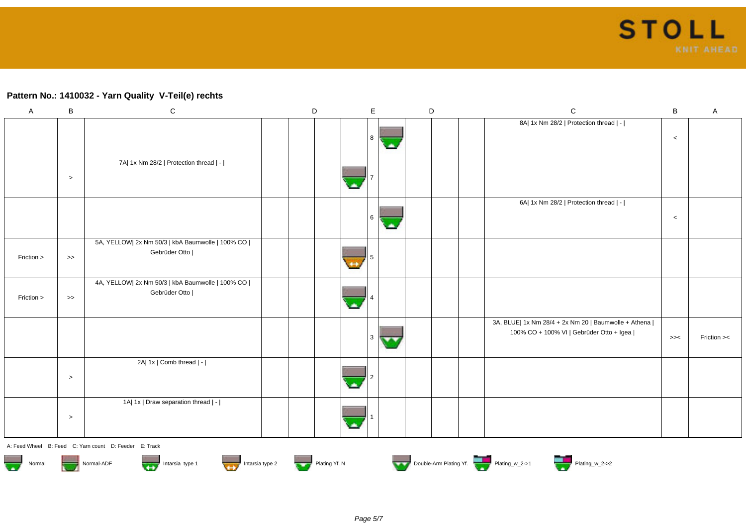## **Pattern No.: 1410032 - Yarn Quality V-Teil(e) rechts**

| $\mathsf{A}$ | $\, {\bf B}$ | $\mathbf C$                                                         | $\mathsf D$ | $\mathsf E$ | D | ${\bf C}$                                                                                          | B     | A           |
|--------------|--------------|---------------------------------------------------------------------|-------------|-------------|---|----------------------------------------------------------------------------------------------------|-------|-------------|
|              |              |                                                                     |             | 8           |   | 8A  1x Nm 28/2   Protection thread   -                                                             | $\,<$ |             |
|              | $\,>$        | 7A  1x Nm 28/2   Protection thread   -                              |             |             |   |                                                                                                    |       |             |
|              |              |                                                                     |             | 6           |   | 6A  1x Nm 28/2   Protection thread   -                                                             | $\,<$ |             |
| Friction >   | $\,\gt{>}$   | 5A, YELLOW  2x Nm 50/3   kbA Baumwolle   100% CO  <br>Gebrüder Otto |             |             |   |                                                                                                    |       |             |
| Friction >   | $\,\gt{>}$   | 4A, YELLOW  2x Nm 50/3   kbA Baumwolle   100% CO  <br>Gebrüder Otto |             |             |   |                                                                                                    |       |             |
|              |              |                                                                     |             |             |   | 3A, BLUE  1x Nm 28/4 + 2x Nm 20   Baumwolle + Athena  <br>100% CO + 100% VI   Gebrüder Otto + Igea | >><   | Friction >< |
|              | $\,>$        | 2A  1x   Comb thread   -                                            |             |             |   |                                                                                                    |       |             |
|              | $\,>$        | 1A  1x   Draw separation thread   -                                 |             |             |   |                                                                                                    |       |             |
|              |              |                                                                     |             |             |   |                                                                                                    |       |             |













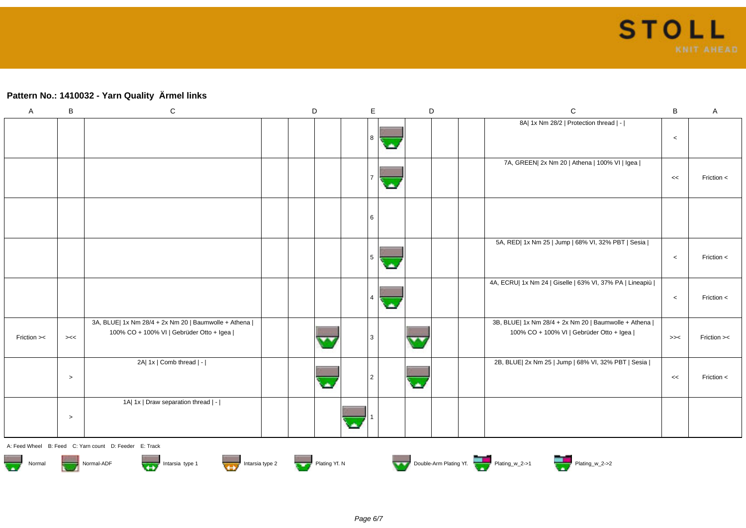# **Pattern No.: 1410032 - Yarn Quality Ärmel links**

| A           | B     | ${\bf C}$                                                                                          | $\mathsf D$ | E | D                        |  | $\mathsf C$                                                                                        | $\sf B$ | Α           |
|-------------|-------|----------------------------------------------------------------------------------------------------|-------------|---|--------------------------|--|----------------------------------------------------------------------------------------------------|---------|-------------|
|             |       |                                                                                                    |             |   |                          |  | 8A  1x Nm 28/2   Protection thread   -                                                             | $\,<$   |             |
|             |       |                                                                                                    |             |   |                          |  | 7A, GREEN  2x Nm 20   Athena   100% VI   Igea                                                      | <<      | Friction <  |
|             |       |                                                                                                    |             |   |                          |  |                                                                                                    |         |             |
|             |       |                                                                                                    |             | 5 |                          |  | 5A, RED  1x Nm 25   Jump   68% VI, 32% PBT   Sesia                                                 | $\,<$   | Friction <  |
|             |       |                                                                                                    |             |   |                          |  | 4A, ECRU  1x Nm 24   Giselle   63% VI, 37% PA   Lineapiù                                           | $\,<$   | Friction <  |
| Friction >< | ><    | 3A, BLUE  1x Nm 28/4 + 2x Nm 20   Baumwolle + Athena  <br>100% CO + 100% VI   Gebrüder Otto + Igea |             |   | $\overline{\phantom{a}}$ |  | 3B, BLUE  1x Nm 28/4 + 2x Nm 20   Baumwolle + Athena  <br>100% CO + 100% VI   Gebrüder Otto + Igea | >><     | Friction >< |
|             | $\,>$ | 2A  1x   Comb thread   -                                                                           |             |   |                          |  | 2B, BLUE  2x Nm 25   Jump   68% VI, 32% PBT   Sesia                                                | <<      | Friction <  |
|             | $\,>$ | 1A  1x   Draw separation thread   -                                                                |             |   |                          |  |                                                                                                    |         |             |